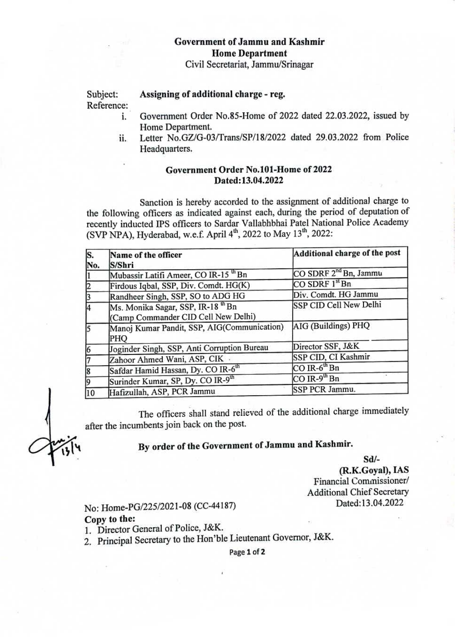### Government of Jammu and Kashmir Home Department

Civil Secretariat, Jammw/Srinagar

Subject: Reference Assigning of additional charge - reg.

- i. Government Order No.85-Home of 2022 dated 22.03.2022, issued by Home Department.
- Letter No.GZ/G-03/Trans/SP/18/2022 dated 29.03.2022 from Police Headquarters. i.

### Government Order No.101-Home of 2022 Dated:13.04.2022

Sanction is hereby accorded to the assignment of additional charge to the following officers as indicated against each, during the period of deputation of recently inducted IPS officers to Sardar Vallabhbhai Patel National Police Academy (SVP NPA), Hyderabad, w.e.f. April  $4<sup>th</sup>$ , 2022 to May 13<sup>th</sup>, 2022:

| S.<br>No.    | Name of the officer<br>S/Shri                                                        | Additional charge of the post     |
|--------------|--------------------------------------------------------------------------------------|-----------------------------------|
|              | Mubassir Latifi Ameer, CO IR-15 <sup>th</sup> Bn                                     | CO SDRF 2 <sup>nd</sup> Bn, Jammu |
|              | Firdous Iqbal, SSP, Div. Comdt. HG(K)                                                | $CO$ SDRF $1st$ Bn                |
|              | Randheer Singh, SSP, SO to ADG HG                                                    | Div. Comdt. HG Jammu              |
| 14           | Ms. Monika Sagar, SSP, IR-18 <sup>th</sup> Bn<br>(Camp Commander CID Cell New Delhi) | SSP CID Cell New Delhi            |
|              | Manoj Kumar Pandit, SSP, AIG(Communication)<br>PHQ                                   | AIG (Buildings) PHQ               |
|              | Joginder Singh, SSP, Anti Corruption Bureau                                          | Director SSF, J&K                 |
|              | Zahoor Ahmed Wani, ASP, CIK                                                          | SSP CID, CI Kashmir               |
| 18           | Safdar Hamid Hassan, Dy. CO IR-6 <sup>th</sup>                                       | $CO$ IR- $6^{\text{th}}$ Bn       |
| 19           | Surinder Kumar, SP, Dy. CO IR-9th                                                    | $CO$ IR-9 <sup>th</sup> Bn        |
| $ 10\rangle$ | Hafizullah, ASP, PCR Jammu                                                           | SSP PCR Jammu.                    |

The officers shall stand relieved of the additional charge immediately after the incumbents join back on the post.

## By order of the Government of Jammu and Kashmir.

Sdl

(R.K.Goyal), IAS Financial Commissioner/ Additional Chief Secretary

# Dated:13.04.2022 No: Home-PG/225/2021-08 (CC-44187)

#### Copy to the:

1. Director General of Police, J&K.

2. Principal Secretary to the Hon'ble Lieutenant Governor, J&K.

Page 1 of 2